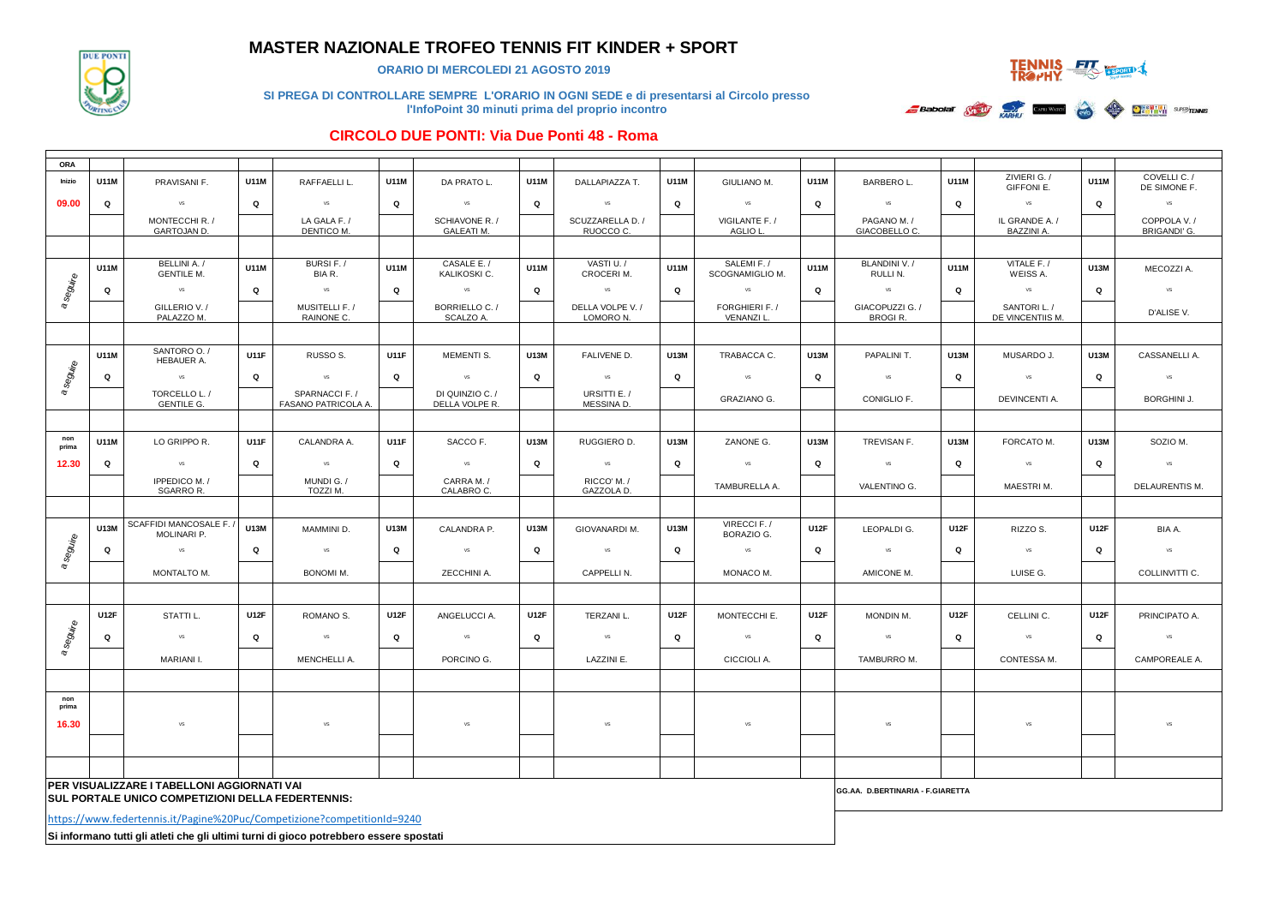

## **MASTER NAZIONALE TROFEO TENNIS FIT KINDER + SPORT**

**ORARIO DI MERCOLEDI 21 AGOSTO 2019**



**SI PREGA DI CONTROLLARE SEMPRE L'ORARIO IN OGNI SEDE e di presentarsi al Circolo presso l'InfoPoint 30 minuti prima del proprio incontro** 



#### **CIRCOLO DUE PONTI: Via Due Ponti 48 - Roma**

| <b>ORA</b>   |             |                                                                                        |             |                                      |             |                                   |             |                               |             |                                |             |                                   |             |                                  |             |                     |
|--------------|-------------|----------------------------------------------------------------------------------------|-------------|--------------------------------------|-------------|-----------------------------------|-------------|-------------------------------|-------------|--------------------------------|-------------|-----------------------------------|-------------|----------------------------------|-------------|---------------------|
| Inizio       | U11M        | PRAVISANI F.                                                                           | <b>U11M</b> | RAFFAELLI L.                         | U11M        | DA PRATO L.                       | U11M        | DALLAPIAZZA T.                | U11M        | GIULIANO M.                    | U11M        | <b>BARBEROL.</b>                  | U11M        | ZIVIERI G. /                     | <b>U11M</b> | COVELLI C. /        |
| 09.00        | Q           | <b>VS</b>                                                                              | Q           | vs                                   | Q           | <b>VS</b>                         | $\mathbf Q$ | <b>VS</b>                     | Q           | vs                             | Q           | <b>VS</b>                         | Q           | GIFFONI E.<br>vs                 | Q           | DE SIMONE F.<br>VS  |
|              |             | MONTECCHI R. /                                                                         |             | LA GALA F. /                         |             | SCHIAVONE R. /                    |             | SCUZZARELLA D. /              |             | VIGILANTE F. /                 |             | PAGANO M. /                       |             | IL GRANDE A. /                   |             | COPPOLA V. /        |
|              |             | GARTOJAN D.                                                                            |             | DENTICO M.                           |             | <b>GALEATI M.</b>                 |             | RUOCCO C.                     |             | AGLIO L                        |             | GIACOBELLO C.                     |             | BAZZINI A.                       |             | <b>BRIGANDI' G.</b> |
|              |             |                                                                                        |             |                                      |             |                                   |             |                               |             |                                |             |                                   |             |                                  |             |                     |
| a seguire    | U11M        | BELLINI A. /<br><b>GENTILE M.</b>                                                      | U11M        | BURSI F./<br>BIA R.                  | U11M        | CASALE E./<br>KALIKOSKI C.        | U11M        | VASTI U. /<br>CROCERI M.      | <b>U11M</b> | SALEMI F. /<br>SCOGNAMIGLIO M. | <b>U11M</b> | BLANDINI V. /<br>RULLI N.         | U11M        | VITALE F. /<br>WEISS A.          | U13M        | MECOZZI A.          |
|              | Q           | vs                                                                                     | Q           | <b>VS</b>                            | Q           | VS                                | Q           | <b>VS</b>                     | Q           | vs                             | Q           | vs                                | Q           | vs                               | Q           | $\mathsf{VS}$       |
|              |             | GILLERIO V. /<br>PALAZZO M.                                                            |             | MUSITELLI F. /<br>RAINONE C.         |             | BORRIELLO C./<br>SCALZO A.        |             | DELLA VOLPE V. /<br>LOMORO N. |             | FORGHIERI F. /<br>VENANZI L.   |             | GIACOPUZZI G. /<br><b>BROGIR.</b> |             | SANTORI L. /<br>DE VINCENTIIS M. |             | D'ALISE V.          |
|              |             |                                                                                        |             |                                      |             |                                   |             |                               |             |                                |             |                                   |             |                                  |             |                     |
|              | U11M        | SANTORO O./<br>HEBAUER A.                                                              | <b>U11F</b> | RUSSO <sub>S</sub> .                 | <b>U11F</b> | MEMENTI S.                        | U13M        | FALIVENE D.                   | U13M        | TRABACCA C.                    | U13M        | PAPALINI T.                       | U13M        | MUSARDO J.                       | U13M        | CASSANELLI A.       |
| a seguire    | Q           | vs                                                                                     | Q           | VS                                   | Q           | vs                                | Q           | VS                            | Q           | VS                             | Q           | VS                                | Q           | <b>VS</b>                        | Q           | VS                  |
|              |             | TORCELLO L./<br><b>GENTILE G.</b>                                                      |             | SPARNACCI F./<br>FASANO PATRICOLA A. |             | DI QUINZIO C. /<br>DELLA VOLPE R. |             | URSITTI E./<br>MESSINA D.     |             | <b>GRAZIANO G.</b>             |             | CONIGLIO F.                       |             | DEVINCENTI A.                    |             | <b>BORGHINI J.</b>  |
|              |             |                                                                                        |             |                                      |             |                                   |             |                               |             |                                |             |                                   |             |                                  |             |                     |
| non<br>prima | U11M        | LO GRIPPO R.                                                                           | <b>U11F</b> | CALANDRA A.                          | <b>U11F</b> | SACCO F.                          | U13M        | RUGGIERO D.                   | <b>U13M</b> | ZANONE G.                      | U13M        | TREVISAN F.                       | U13M        | FORCATO M.                       | U13M        | SOZIO M.            |
| 12.30        | Q           | $\mathsf{VS}$                                                                          | Q           | $\mathsf{VS}$                        | Q           | VS                                | Q           | VS                            | Q           | VS                             | Q           | VS                                | Q           | vs                               | Q           | <b>VS</b>           |
|              |             | IPPEDICO M. /<br><b>SGARROR.</b>                                                       |             | MUNDI G. /<br>TOZZI M.               |             | CARRA M. /<br>CALABRO C.          |             | RICCO' M. /<br>GAZZOLA D.     |             | TAMBURELLA A.                  |             | VALENTINO G.                      |             | MAESTRIM.                        |             | DELAURENTIS M.      |
|              |             |                                                                                        |             |                                      |             |                                   |             |                               |             |                                |             |                                   |             |                                  |             |                     |
| a seguire    | U13M        | SCAFFIDI MANCOSALE F.<br>MOLINARI P.                                                   | <b>U13M</b> | MAMMINI D.                           | U13M        | CALANDRA P.                       | U13M        | <b>GIOVANARDI M.</b>          | U13M        | VIRECCI F./<br>BORAZIO G.      | <b>U12F</b> | LEOPALDI G.                       | <b>U12F</b> | RIZZO S.                         | U12F        | BIA A.              |
|              | Q           | <b>VS</b>                                                                              | Q           | <b>VS</b>                            | Q           | <b>VS</b>                         | Q           | <b>VS</b>                     | Q           | VS                             | Q           | VS                                | Q           | vs                               | Q           | <b>VS</b>           |
|              |             | MONTALTO M.                                                                            |             | <b>BONOMI M.</b>                     |             | ZECCHINI A.                       |             | CAPPELLI N.                   |             | MONACO M.                      |             | AMICONE M.                        |             | LUISE G.                         |             | COLLINVITTI C.      |
|              |             |                                                                                        |             |                                      |             |                                   |             |                               |             |                                |             |                                   |             |                                  |             |                     |
|              | <b>U12F</b> | STATTI L.                                                                              | <b>U12F</b> | ROMANO S.                            | <b>U12F</b> | ANGELUCCI A.                      | <b>U12F</b> | TERZANI L.                    | <b>U12F</b> | MONTECCHI E.                   | <b>U12F</b> | MONDIN M.                         | <b>U12F</b> | CELLINI C.                       | <b>U12F</b> | PRINCIPATO A.       |
| seguire      | Q           | vs                                                                                     | Q           | vs                                   | Q           | vs                                | Q           | VS                            | Q           | vs                             | Q           | vs                                | Q           | vs                               | Q           | vs                  |
| $\sigma$     |             | MARIANI I.                                                                             |             | MENCHELLI A.                         |             | PORCINO G.                        |             | LAZZINI E.                    |             | CICCIOLI A.                    |             | TAMBURRO M.                       |             | CONTESSA M.                      |             | CAMPOREALE A.       |
|              |             |                                                                                        |             |                                      |             |                                   |             |                               |             |                                |             |                                   |             |                                  |             |                     |
| non<br>prima |             |                                                                                        |             |                                      |             |                                   |             |                               |             |                                |             |                                   |             |                                  |             |                     |
| 16.30        |             | <b>VS</b>                                                                              |             | <b>VS</b>                            |             | VS                                |             | VS                            |             | VS                             |             | VS                                |             | <b>VS</b>                        |             | VS                  |
|              |             |                                                                                        |             |                                      |             |                                   |             |                               |             |                                |             |                                   |             |                                  |             |                     |
|              |             |                                                                                        |             |                                      |             |                                   |             |                               |             |                                |             |                                   |             |                                  |             |                     |
|              |             | PER VISUALIZZARE I TABELLONI AGGIORNATI VAI                                            |             |                                      |             |                                   |             |                               |             |                                |             | GG.AA. D.BERTINARIA - F.GIARETTA  |             |                                  |             |                     |
|              |             | SUL PORTALE UNICO COMPETIZIONI DELLA FEDERTENNIS:                                      |             |                                      |             |                                   |             |                               |             |                                |             |                                   |             |                                  |             |                     |
|              |             | https://www.federtennis.it/Pagine%20Puc/Competizione?competitionId=9240                |             |                                      |             |                                   |             |                               |             |                                |             |                                   |             |                                  |             |                     |
|              |             | Si informano tutti gli atleti che gli ultimi turni di gioco potrebbero essere spostati |             |                                      |             |                                   |             |                               |             |                                |             |                                   |             |                                  |             |                     |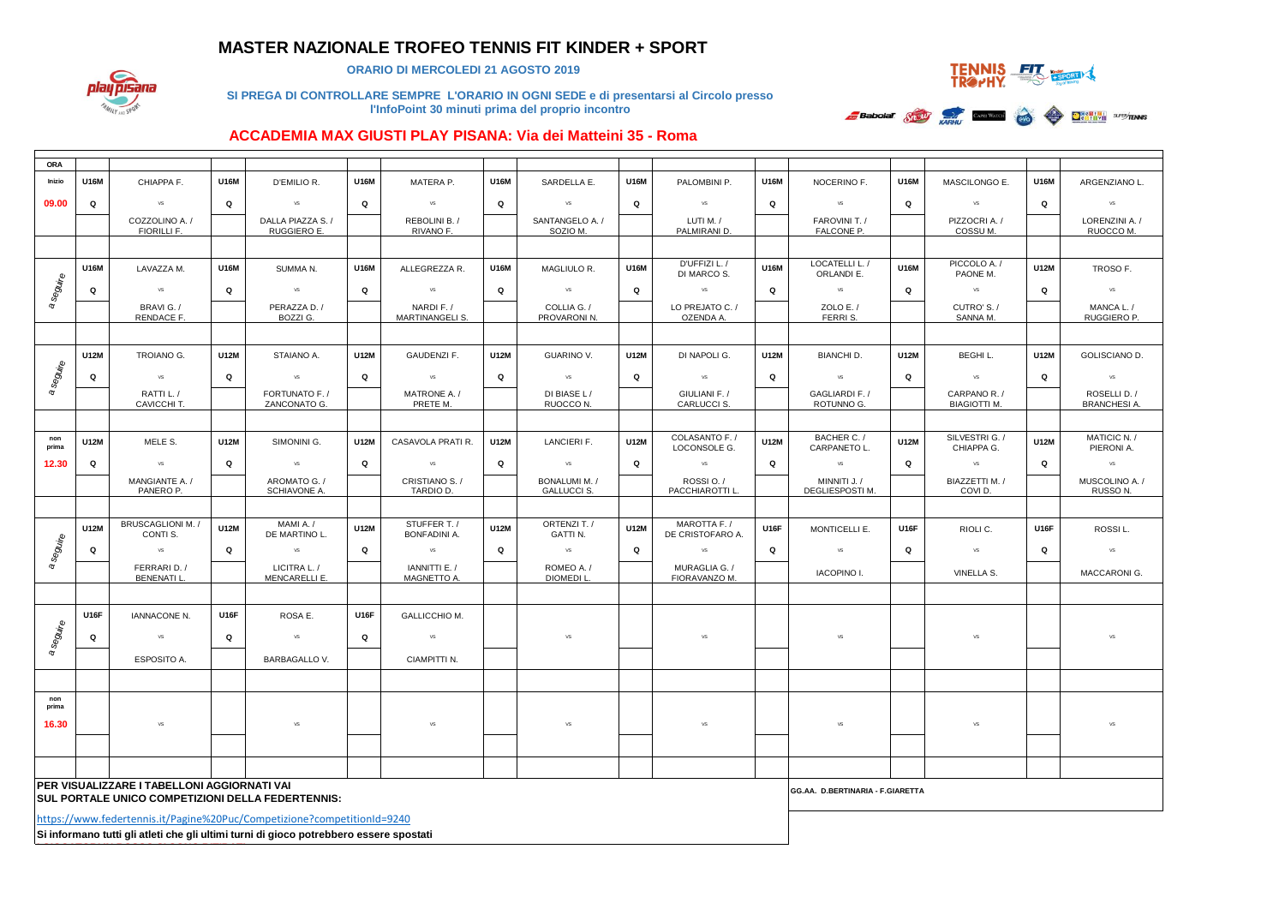## **MASTER NAZIONALE TROFEO TENNIS FIT KINDER + SPORT**



**ORARIO DI MERCOLEDI 21 AGOSTO 2019**



**SI PREGA DI CONTROLLARE SEMPRE L'ORARIO IN OGNI SEDE e di presentarsi al Circolo presso l'InfoPoint 30 minuti prima del proprio incontro** 



### **ACCADEMIA MAX GIUSTI PLAY PISANA: Via dei Matteini 35 - Roma**

| ORA          |                                                                                                         |                                                                         |             |                                 |             |                                     |             |                                            |             |                                         |             |                                  |             |                                     |             |                                       |  |
|--------------|---------------------------------------------------------------------------------------------------------|-------------------------------------------------------------------------|-------------|---------------------------------|-------------|-------------------------------------|-------------|--------------------------------------------|-------------|-----------------------------------------|-------------|----------------------------------|-------------|-------------------------------------|-------------|---------------------------------------|--|
| Inizio       | U16M                                                                                                    | CHIAPPA F.                                                              | <b>U16M</b> | D'EMILIO R.                     | U16M        | MATERA P.                           | U16M        | SARDELLA E.                                | <b>U16M</b> | PALOMBINI P.                            | U16M        | NOCERINO F.                      | U16M        | MASCILONGO E.                       | U16M        | ARGENZIANO L.                         |  |
| 09.00        | Q                                                                                                       | vs                                                                      | Q           | VS                              | Q           | vs                                  | Q           | <b>VS</b>                                  | Q           | vs                                      | Q           | vs                               | Q           | vs                                  | Q           | vs                                    |  |
|              |                                                                                                         | COZZOLINO A. /<br><b>FIORILLI F.</b>                                    |             | DALLA PIAZZA S./<br>RUGGIERO E. |             | REBOLINI B. /<br>RIVANO F.          |             | SANTANGELO A. /<br>SOZIO M.                |             | LUTI M. /<br>PALMIRANI D.               |             | FAROVINI T. /<br>FALCONE P.      |             | PIZZOCRI A. /<br>COSSUM.            |             | LORENZINI A. /<br>RUOCCO M.           |  |
|              |                                                                                                         |                                                                         |             |                                 |             |                                     |             |                                            |             |                                         |             |                                  |             |                                     |             |                                       |  |
|              | U16M                                                                                                    | LAVAZZA M.                                                              | <b>U16M</b> | SUMMA N.                        | U16M        | ALLEGREZZA R.                       | U16M        | MAGLIULO R.                                | U16M        | D'UFFIZI L./                            | U16M        | LOCATELLI L. /                   | <b>U16M</b> | PICCOLO A. /                        | U12M        | TROSO F.                              |  |
| a seguire    | Q                                                                                                       | vs                                                                      | Q           | VS                              | Q           | VS                                  | Q           | <b>VS</b>                                  | Q           | DI MARCO S.<br><b>VS</b>                | Q           | ORLANDI E.<br><b>VS</b>          | Q           | PAONE M.<br>vs                      | Q           | vs                                    |  |
|              |                                                                                                         | BRAVI G. /<br><b>RENDACE F.</b>                                         |             | PERAZZA D. /<br>BOZZI G.        |             | NARDI F. /<br>MARTINANGELI S.       |             | COLLIA G. /<br>PROVARONI N.                |             | LO PREJATO C./<br>OZENDA A              |             | ZOLO E. $/$<br>FERRI S.          |             | CUTRO'S./<br>SANNA M.               |             | MANCA L./<br>RUGGIERO P.              |  |
|              |                                                                                                         |                                                                         |             |                                 |             |                                     |             |                                            |             |                                         |             |                                  |             |                                     |             |                                       |  |
|              | U12M                                                                                                    | TROIANO G.                                                              | U12M        | STAIANO A.                      | U12M        | GAUDENZI F.                         | U12M        | <b>GUARINO V.</b>                          | U12M        | DI NAPOLI G.                            | U12M        | <b>BIANCHI D.</b>                | U12M        | BEGHI L.                            | <b>U12M</b> | GOLISCIANO D.                         |  |
| a seguire    | Q                                                                                                       | VS                                                                      | Q           | VS                              | Q           | VS                                  | Q           | <b>VS</b>                                  | Q           | <b>VS</b>                               | Q           | <b>VS</b>                        | Q           | vs                                  | Q           | vs.                                   |  |
|              |                                                                                                         | RATTI L./<br>CAVICCHI T.                                                |             | FORTUNATO F. /<br>ZANCONATO G.  |             | MATRONE A./<br>PRETE M.             |             | DI BIASE L/<br>RUOCCO N.                   |             | GIULIANI F. /<br>CARLUCCI S.            |             | GAGLIARDI F. /<br>ROTUNNO G.     |             | CARPANO R. /<br><b>BIAGIOTTI M.</b> |             | ROSELLI D. /<br><b>BRANCHESI A.</b>   |  |
|              |                                                                                                         |                                                                         |             |                                 |             |                                     |             |                                            |             |                                         |             |                                  |             |                                     |             |                                       |  |
| non<br>prima | U12M                                                                                                    | MELE S.                                                                 | U12M        | SIMONINI G.                     | U12M        | CASAVOLA PRATI R.                   | U12M        | LANCIERI F.                                | U12M        | COLASANTO F. /<br>LOCONSOLE G.          | U12M        | BACHER C./<br>CARPANETO L.       | U12M        | SILVESTRI G. /<br>CHIAPPA G.        | <b>U12M</b> | MATICIC N. /<br>PIERONI A.            |  |
| 12.30        | Q                                                                                                       | VS                                                                      | Q           | VS                              | Q           | VS                                  | Q           | vs                                         | Q           | <b>VS</b>                               | Q           | <b>VS</b>                        | Q           | <b>VS</b>                           | Q           | vs                                    |  |
|              |                                                                                                         | MANGIANTE A. /<br>PANERO P.                                             |             | AROMATO G./<br>SCHIAVONE A.     |             | CRISTIANO S. /<br>TARDIO D.         |             | <b>BONALUMI M. /</b><br><b>GALLUCCI S.</b> |             | ROSSI <sub>O.</sub> /<br>PACCHIAROTTI L |             | MINNITI J. /<br>DEGLIESPOSTI M.  |             | BIAZZETTI M. /<br>COVI <sub>D</sub> |             | MUSCOLINO A. /<br>RUSSO <sub>N.</sub> |  |
|              |                                                                                                         |                                                                         |             |                                 |             |                                     |             |                                            |             |                                         |             |                                  |             |                                     |             |                                       |  |
| a seguire    | <b>U12M</b>                                                                                             | BRUSCAGLIONI M.<br>CONTI S.                                             | <b>U12M</b> | MAMI A./<br>DE MARTINO L.       | <b>U12M</b> | STUFFER T. /<br><b>BONFADINI A.</b> | <b>U12M</b> | ORTENZI T. /<br>GATTI N.                   | <b>U12M</b> | MAROTTA F. /<br>DE CRISTOFARO A.        | <b>U16F</b> | MONTICELLI E.                    | <b>U16F</b> | RIOLI C.                            | <b>U16F</b> | ROSSI L.                              |  |
|              | Q                                                                                                       | vs                                                                      | $\mathbf Q$ | vs                              | Q           | vs                                  | Q           | vs                                         | Q           | vs                                      | Q           | vs                               | Q           | vs                                  | Q           | vs                                    |  |
|              |                                                                                                         | FERRARI D. /<br><b>BENENATI L.</b>                                      |             | LICITRA L. /<br>MENCARELLI E.   |             | IANNITTI E./<br>MAGNETTO A.         |             | ROMEO A./<br>DIOMEDI L                     |             | MURAGLIA G. /<br>FIORAVANZO M.          |             | <b>IACOPINO I.</b>               |             | VINELLA S.                          |             | MACCARONI G.                          |  |
|              |                                                                                                         |                                                                         |             |                                 |             |                                     |             |                                            |             |                                         |             |                                  |             |                                     |             |                                       |  |
|              | <b>U16F</b>                                                                                             | <b>IANNACONE N.</b>                                                     | <b>U16F</b> | ROSA E.                         | <b>U16F</b> | GALLICCHIO M.                       |             |                                            |             |                                         |             |                                  |             |                                     |             |                                       |  |
| a seguire    | Q                                                                                                       | <b>VS</b>                                                               | Q           | VS                              | Q           | VS                                  |             | vs                                         |             | vs                                      |             | vs                               |             | vs                                  |             | vs                                    |  |
|              |                                                                                                         | ESPOSITO A.                                                             |             | <b>BARBAGALLO V.</b>            |             | CIAMPITTI N.                        |             |                                            |             |                                         |             |                                  |             |                                     |             |                                       |  |
|              |                                                                                                         |                                                                         |             |                                 |             |                                     |             |                                            |             |                                         |             |                                  |             |                                     |             |                                       |  |
| non<br>prima |                                                                                                         |                                                                         |             |                                 |             |                                     |             |                                            |             |                                         |             |                                  |             |                                     |             |                                       |  |
| 16.30        |                                                                                                         | vs                                                                      |             | VS                              |             | VS                                  |             | <b>VS</b>                                  |             | vs                                      |             | <b>VS</b>                        |             | vs                                  |             | <b>VS</b>                             |  |
|              |                                                                                                         |                                                                         |             |                                 |             |                                     |             |                                            |             |                                         |             |                                  |             |                                     |             |                                       |  |
|              |                                                                                                         |                                                                         |             |                                 |             |                                     |             |                                            |             |                                         |             |                                  |             |                                     |             |                                       |  |
|              | PER VISUALIZZARE I TABELLONI AGGIORNATI VAI<br><b>SUL PORTALE UNICO COMPETIZIONI DELLA FEDERTENNIS:</b> |                                                                         |             |                                 |             |                                     |             |                                            |             |                                         |             | GG.AA. D.BERTINARIA - F.GIARETTA |             |                                     |             |                                       |  |
|              |                                                                                                         | https://www.federtennis.it/Pagine%20Puc/Competizione?competitionId=9240 |             |                                 |             |                                     |             |                                            |             |                                         |             |                                  |             |                                     |             |                                       |  |
|              |                                                                                                         |                                                                         |             |                                 |             |                                     |             |                                            |             |                                         |             |                                  |             |                                     |             |                                       |  |

**Si informano tutti gli atleti che gli ultimi turni di gioco potrebbero essere spostati**

**I GIOCATORI IN ROSSO SI SONO RITIRATI IN ROSSO SI SONO RITIRATI IN ROSSO SI SONO RITIRA PER PER PER PER PER PE**